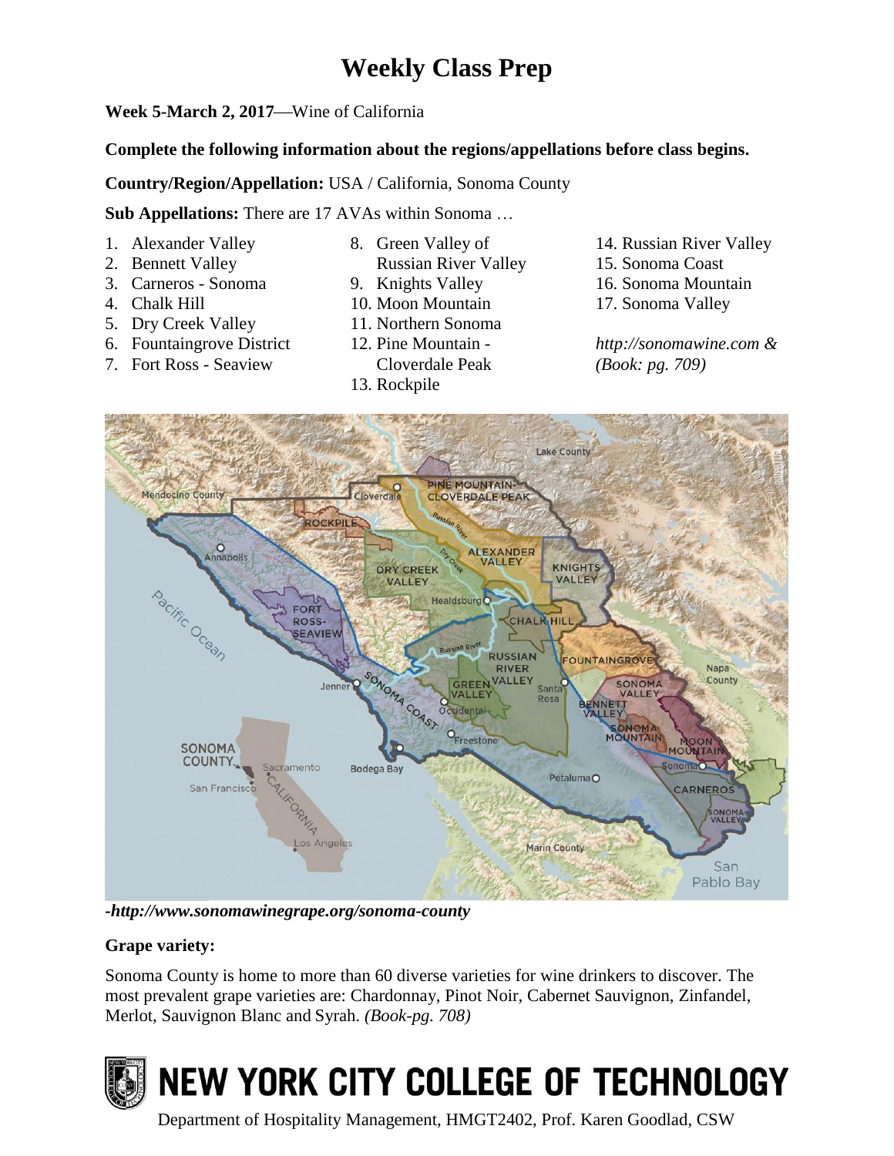# **Weekly Class Prep**

## **Week 5-March 2, 2017—Wine of California**

#### **Complete the following information about the regions/appellations before class begins.**

**Country/Region/Appellation:** USA / California, Sonoma County

**Sub Appellations:** There are 17 AVAs within Sonoma …

- 1. Alexander Valley
- 2. Bennett Valley
- 3. Carneros Sonoma
- 4. Chalk Hill
- 5. Dry Creek Valley
- 6. Fountaingrove District
- 7. Fort Ross Seaview
- 8. Green Valley of
- Russian River Valley
- 9. Knights Valley
- 10. Moon Mountain
- 11. Northern Sonoma
- 12. Pine Mountain Cloverdale Peak
- 13. Rockpile
- 14. Russian River Valley
- 15. Sonoma Coast
- 16. Sonoma Mountain
- 17. Sonoma Valley

*http://sonomawine.com & (Book: pg. 709)*



*-http://www.sonomawinegrape.org/sonoma-county*

## **Grape variety:**

Sonoma County is home to more than 60 diverse varieties for wine drinkers to discover. The most prevalent grape varieties are: Chardonnay, Pinot Noir, Cabernet Sauvignon, Zinfandel, Merlot, Sauvignon Blanc and Syrah. *(Book-pg. 708)*



# NEW YORK CITY COLLEGE OF TECHNOLOGY

Department of Hospitality Management, HMGT2402, Prof. Karen Goodlad, CSW